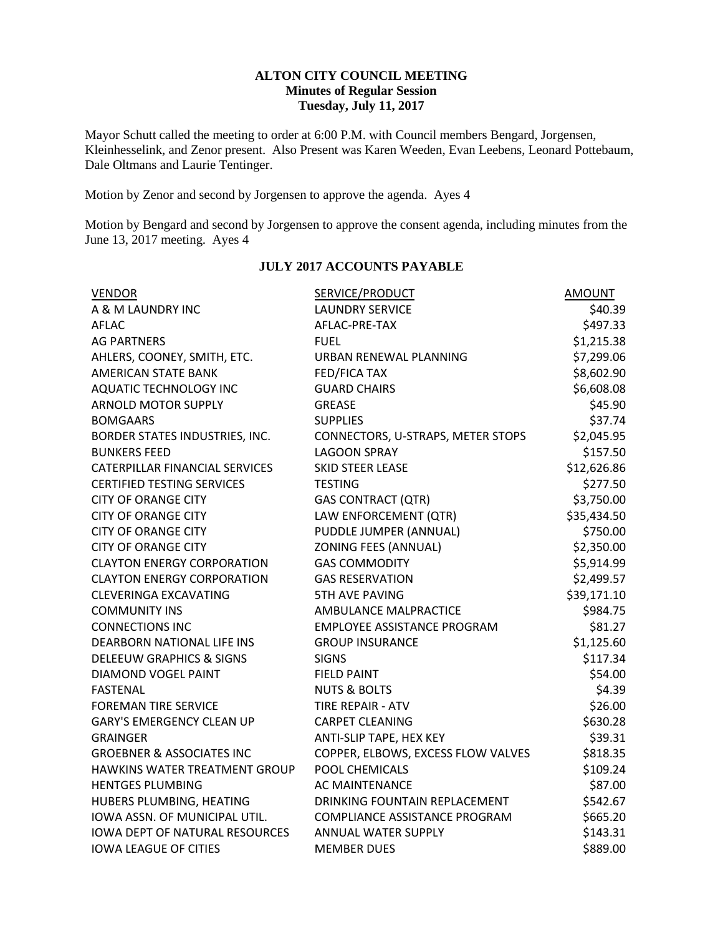## **ALTON CITY COUNCIL MEETING Minutes of Regular Session Tuesday, July 11, 2017**

Mayor Schutt called the meeting to order at 6:00 P.M. with Council members Bengard, Jorgensen, Kleinhesselink, and Zenor present. Also Present was Karen Weeden, Evan Leebens, Leonard Pottebaum, Dale Oltmans and Laurie Tentinger.

Motion by Zenor and second by Jorgensen to approve the agenda. Ayes 4

Motion by Bengard and second by Jorgensen to approve the consent agenda, including minutes from the June 13, 2017 meeting. Ayes 4

| <b>VENDOR</b>                         | <b>SERVICE/PRODUCT</b>               | <b>AMOUNT</b> |
|---------------------------------------|--------------------------------------|---------------|
| A & M LAUNDRY INC                     | <b>LAUNDRY SERVICE</b>               | \$40.39       |
| AFLAC                                 | AFLAC-PRE-TAX                        | \$497.33      |
| <b>AG PARTNERS</b>                    | <b>FUEL</b>                          | \$1,215.38    |
| AHLERS, COONEY, SMITH, ETC.           | URBAN RENEWAL PLANNING               | \$7,299.06    |
| <b>AMERICAN STATE BANK</b>            | <b>FED/FICA TAX</b>                  | \$8,602.90    |
| <b>AQUATIC TECHNOLOGY INC</b>         | <b>GUARD CHAIRS</b>                  | \$6,608.08    |
| <b>ARNOLD MOTOR SUPPLY</b>            | <b>GREASE</b>                        | \$45.90       |
| <b>BOMGAARS</b>                       | <b>SUPPLIES</b>                      | \$37.74       |
| BORDER STATES INDUSTRIES, INC.        | CONNECTORS, U-STRAPS, METER STOPS    | \$2,045.95    |
| <b>BUNKERS FEED</b>                   | <b>LAGOON SPRAY</b>                  | \$157.50      |
| CATERPILLAR FINANCIAL SERVICES        | <b>SKID STEER LEASE</b>              | \$12,626.86   |
| <b>CERTIFIED TESTING SERVICES</b>     | <b>TESTING</b>                       | \$277.50      |
| <b>CITY OF ORANGE CITY</b>            | <b>GAS CONTRACT (QTR)</b>            | \$3,750.00    |
| <b>CITY OF ORANGE CITY</b>            | LAW ENFORCEMENT (QTR)                | \$35,434.50   |
| <b>CITY OF ORANGE CITY</b>            | PUDDLE JUMPER (ANNUAL)               | \$750.00      |
| <b>CITY OF ORANGE CITY</b>            | <b>ZONING FEES (ANNUAL)</b>          | \$2,350.00    |
| <b>CLAYTON ENERGY CORPORATION</b>     | <b>GAS COMMODITY</b>                 | \$5,914.99    |
| <b>CLAYTON ENERGY CORPORATION</b>     | <b>GAS RESERVATION</b>               | \$2,499.57    |
| <b>CLEVERINGA EXCAVATING</b>          | <b>5TH AVE PAVING</b>                | \$39,171.10   |
| <b>COMMUNITY INS</b>                  | AMBULANCE MALPRACTICE                | \$984.75      |
| <b>CONNECTIONS INC</b>                | <b>EMPLOYEE ASSISTANCE PROGRAM</b>   | \$81.27       |
| DEARBORN NATIONAL LIFE INS            | <b>GROUP INSURANCE</b>               | \$1,125.60    |
| <b>DELEEUW GRAPHICS &amp; SIGNS</b>   | <b>SIGNS</b>                         | \$117.34      |
| <b>DIAMOND VOGEL PAINT</b>            | <b>FIELD PAINT</b>                   | \$54.00       |
| <b>FASTENAL</b>                       | <b>NUTS &amp; BOLTS</b>              | \$4.39        |
| <b>FOREMAN TIRE SERVICE</b>           | <b>TIRE REPAIR - ATV</b>             | \$26.00       |
| <b>GARY'S EMERGENCY CLEAN UP</b>      | <b>CARPET CLEANING</b>               | \$630.28      |
| <b>GRAINGER</b>                       | ANTI-SLIP TAPE, HEX KEY              | \$39.31       |
| <b>GROEBNER &amp; ASSOCIATES INC</b>  | COPPER, ELBOWS, EXCESS FLOW VALVES   | \$818.35      |
| HAWKINS WATER TREATMENT GROUP         | POOL CHEMICALS                       | \$109.24      |
| <b>HENTGES PLUMBING</b>               | <b>AC MAINTENANCE</b>                | \$87.00       |
| HUBERS PLUMBING, HEATING              | DRINKING FOUNTAIN REPLACEMENT        | \$542.67      |
| IOWA ASSN. OF MUNICIPAL UTIL.         | <b>COMPLIANCE ASSISTANCE PROGRAM</b> | \$665.20      |
| <b>IOWA DEPT OF NATURAL RESOURCES</b> | ANNUAL WATER SUPPLY                  | \$143.31      |
| <b>IOWA LEAGUE OF CITIES</b>          | <b>MEMBER DUES</b>                   | \$889.00      |

## **JULY 2017 ACCOUNTS PAYABLE**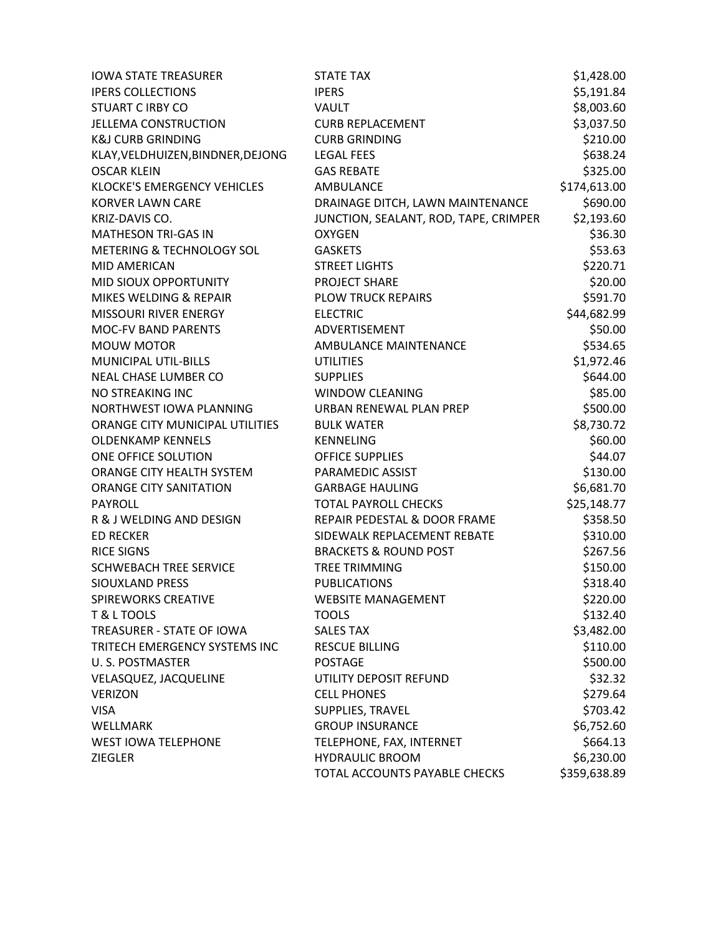| <b>IOWA STATE TREASURER</b>       | STATE TAX                             | \$1,428.00   |
|-----------------------------------|---------------------------------------|--------------|
| <b>IPERS COLLECTIONS</b>          | <b>IPERS</b>                          | \$5,191.84   |
| <b>STUART C IRBY CO</b>           | <b>VAULT</b>                          | \$8,003.60   |
| <b>JELLEMA CONSTRUCTION</b>       | <b>CURB REPLACEMENT</b>               | \$3,037.50   |
| <b>K&amp;J CURB GRINDING</b>      | <b>CURB GRINDING</b>                  | \$210.00     |
| KLAY, VELDHUIZEN, BINDNER, DEJONG | <b>LEGAL FEES</b>                     | \$638.24     |
| <b>OSCAR KLEIN</b>                | <b>GAS REBATE</b>                     | \$325.00     |
| KLOCKE'S EMERGENCY VEHICLES       | AMBULANCE                             | \$174,613.00 |
| <b>KORVER LAWN CARE</b>           | DRAINAGE DITCH, LAWN MAINTENANCE      | \$690.00     |
| KRIZ-DAVIS CO.                    | JUNCTION, SEALANT, ROD, TAPE, CRIMPER | \$2,193.60   |
| <b>MATHESON TRI-GAS IN</b>        | <b>OXYGEN</b>                         | \$36.30      |
| METERING & TECHNOLOGY SOL         | <b>GASKETS</b>                        | \$53.63      |
| MID AMERICAN                      | <b>STREET LIGHTS</b>                  | \$220.71     |
| MID SIOUX OPPORTUNITY             | <b>PROJECT SHARE</b>                  | \$20.00      |
| MIKES WELDING & REPAIR            | <b>PLOW TRUCK REPAIRS</b>             | \$591.70     |
| MISSOURI RIVER ENERGY             | <b>ELECTRIC</b>                       | \$44,682.99  |
| MOC-FV BAND PARENTS               | ADVERTISEMENT                         | \$50.00      |
| <b>MOUW MOTOR</b>                 | <b>AMBULANCE MAINTENANCE</b>          | \$534.65     |
| MUNICIPAL UTIL-BILLS              | <b>UTILITIES</b>                      | \$1,972.46   |
| <b>NEAL CHASE LUMBER CO</b>       | <b>SUPPLIES</b>                       | \$644.00     |
| NO STREAKING INC                  | <b>WINDOW CLEANING</b>                | \$85.00      |
| NORTHWEST IOWA PLANNING           | URBAN RENEWAL PLAN PREP               | \$500.00     |
| ORANGE CITY MUNICIPAL UTILITIES   | <b>BULK WATER</b>                     | \$8,730.72   |
| <b>OLDENKAMP KENNELS</b>          | <b>KENNELING</b>                      | \$60.00      |
| ONE OFFICE SOLUTION               | <b>OFFICE SUPPLIES</b>                | \$44.07      |
| ORANGE CITY HEALTH SYSTEM         | PARAMEDIC ASSIST                      | \$130.00     |
| ORANGE CITY SANITATION            | <b>GARBAGE HAULING</b>                | \$6,681.70   |
| <b>PAYROLL</b>                    | <b>TOTAL PAYROLL CHECKS</b>           | \$25,148.77  |
| R & J WELDING AND DESIGN          | REPAIR PEDESTAL & DOOR FRAME          | \$358.50     |
| <b>ED RECKER</b>                  | SIDEWALK REPLACEMENT REBATE           | \$310.00     |
| <b>RICE SIGNS</b>                 | <b>BRACKETS &amp; ROUND POST</b>      | \$267.56     |
| <b>SCHWEBACH TREE SERVICE</b>     | <b>TREE TRIMMING</b>                  | \$150.00     |
| <b>SIOUXLAND PRESS</b>            | <b>PUBLICATIONS</b>                   | \$318.40     |
| SPIREWORKS CREATIVE               | <b>WEBSITE MANAGEMENT</b>             | \$220.00     |
| T & L TOOLS                       | <b>TOOLS</b>                          | \$132.40     |
| TREASURER - STATE OF IOWA         | <b>SALES TAX</b>                      | \$3,482.00   |
| TRITECH EMERGENCY SYSTEMS INC     | <b>RESCUE BILLING</b>                 | \$110.00     |
| <b>U.S. POSTMASTER</b>            | <b>POSTAGE</b>                        | \$500.00     |
| VELASQUEZ, JACQUELINE             | UTILITY DEPOSIT REFUND                | \$32.32      |
| <b>VERIZON</b>                    | <b>CELL PHONES</b>                    | \$279.64     |
| <b>VISA</b>                       | SUPPLIES, TRAVEL                      | \$703.42     |
| WELLMARK                          | <b>GROUP INSURANCE</b>                | \$6,752.60   |
| <b>WEST IOWA TELEPHONE</b>        | TELEPHONE, FAX, INTERNET              | \$664.13     |
| <b>ZIEGLER</b>                    | <b>HYDRAULIC BROOM</b>                | \$6,230.00   |
|                                   | TOTAL ACCOUNTS PAYABLE CHECKS         | \$359,638.89 |
|                                   |                                       |              |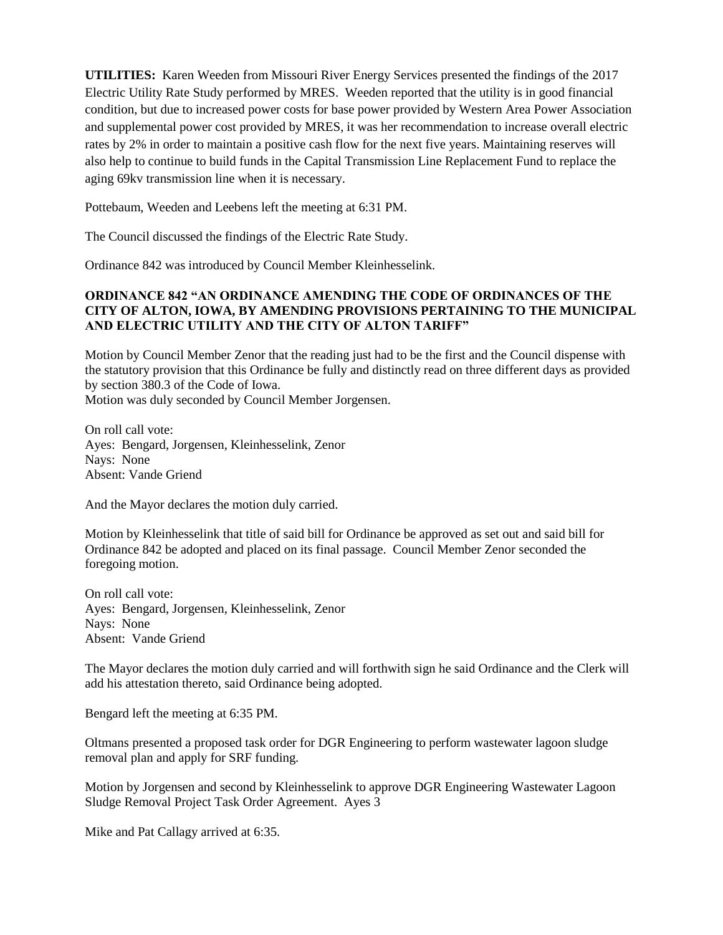**UTILITIES:** Karen Weeden from Missouri River Energy Services presented the findings of the 2017 Electric Utility Rate Study performed by MRES. Weeden reported that the utility is in good financial condition, but due to increased power costs for base power provided by Western Area Power Association and supplemental power cost provided by MRES, it was her recommendation to increase overall electric rates by 2% in order to maintain a positive cash flow for the next five years. Maintaining reserves will also help to continue to build funds in the Capital Transmission Line Replacement Fund to replace the aging 69kv transmission line when it is necessary.

Pottebaum, Weeden and Leebens left the meeting at 6:31 PM.

The Council discussed the findings of the Electric Rate Study.

Ordinance 842 was introduced by Council Member Kleinhesselink.

# **ORDINANCE 842 "AN ORDINANCE AMENDING THE CODE OF ORDINANCES OF THE CITY OF ALTON, IOWA, BY AMENDING PROVISIONS PERTAINING TO THE MUNICIPAL AND ELECTRIC UTILITY AND THE CITY OF ALTON TARIFF"**

Motion by Council Member Zenor that the reading just had to be the first and the Council dispense with the statutory provision that this Ordinance be fully and distinctly read on three different days as provided by section 380.3 of the Code of Iowa.

Motion was duly seconded by Council Member Jorgensen.

On roll call vote: Ayes: Bengard, Jorgensen, Kleinhesselink, Zenor Nays: None Absent: Vande Griend

And the Mayor declares the motion duly carried.

Motion by Kleinhesselink that title of said bill for Ordinance be approved as set out and said bill for Ordinance 842 be adopted and placed on its final passage. Council Member Zenor seconded the foregoing motion.

On roll call vote: Ayes: Bengard, Jorgensen, Kleinhesselink, Zenor Nays: None Absent: Vande Griend

The Mayor declares the motion duly carried and will forthwith sign he said Ordinance and the Clerk will add his attestation thereto, said Ordinance being adopted.

Bengard left the meeting at 6:35 PM.

Oltmans presented a proposed task order for DGR Engineering to perform wastewater lagoon sludge removal plan and apply for SRF funding.

Motion by Jorgensen and second by Kleinhesselink to approve DGR Engineering Wastewater Lagoon Sludge Removal Project Task Order Agreement. Ayes 3

Mike and Pat Callagy arrived at 6:35.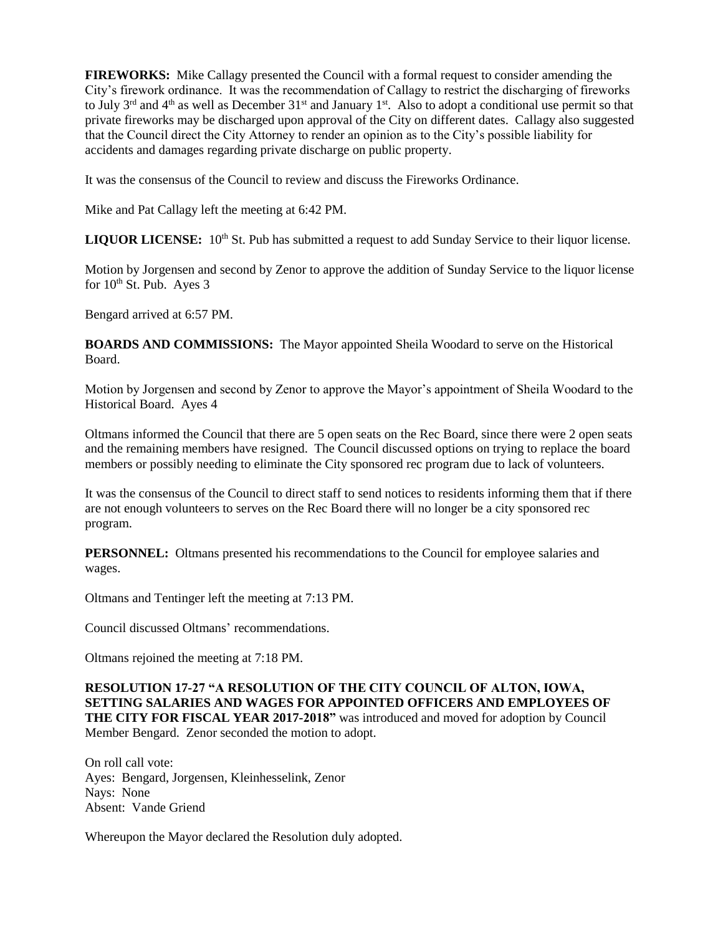**FIREWORKS:** Mike Callagy presented the Council with a formal request to consider amending the City's firework ordinance. It was the recommendation of Callagy to restrict the discharging of fireworks to July  $3^{rd}$  and  $4^{th}$  as well as December  $31^{st}$  and January  $1^{st}$ . Also to adopt a conditional use permit so that private fireworks may be discharged upon approval of the City on different dates. Callagy also suggested that the Council direct the City Attorney to render an opinion as to the City's possible liability for accidents and damages regarding private discharge on public property.

It was the consensus of the Council to review and discuss the Fireworks Ordinance.

Mike and Pat Callagy left the meeting at 6:42 PM.

LIQUOR LICENSE: 10<sup>th</sup> St. Pub has submitted a request to add Sunday Service to their liquor license.

Motion by Jorgensen and second by Zenor to approve the addition of Sunday Service to the liquor license for  $10^{th}$  St. Pub. Ayes 3

Bengard arrived at 6:57 PM.

**BOARDS AND COMMISSIONS:** The Mayor appointed Sheila Woodard to serve on the Historical Board.

Motion by Jorgensen and second by Zenor to approve the Mayor's appointment of Sheila Woodard to the Historical Board. Ayes 4

Oltmans informed the Council that there are 5 open seats on the Rec Board, since there were 2 open seats and the remaining members have resigned. The Council discussed options on trying to replace the board members or possibly needing to eliminate the City sponsored rec program due to lack of volunteers.

It was the consensus of the Council to direct staff to send notices to residents informing them that if there are not enough volunteers to serves on the Rec Board there will no longer be a city sponsored rec program.

**PERSONNEL:** Oltmans presented his recommendations to the Council for employee salaries and wages.

Oltmans and Tentinger left the meeting at 7:13 PM.

Council discussed Oltmans' recommendations.

Oltmans rejoined the meeting at 7:18 PM.

**RESOLUTION 17-27 "A RESOLUTION OF THE CITY COUNCIL OF ALTON, IOWA, SETTING SALARIES AND WAGES FOR APPOINTED OFFICERS AND EMPLOYEES OF THE CITY FOR FISCAL YEAR 2017-2018"** was introduced and moved for adoption by Council Member Bengard. Zenor seconded the motion to adopt.

On roll call vote: Ayes: Bengard, Jorgensen, Kleinhesselink, Zenor Nays: None Absent: Vande Griend

Whereupon the Mayor declared the Resolution duly adopted.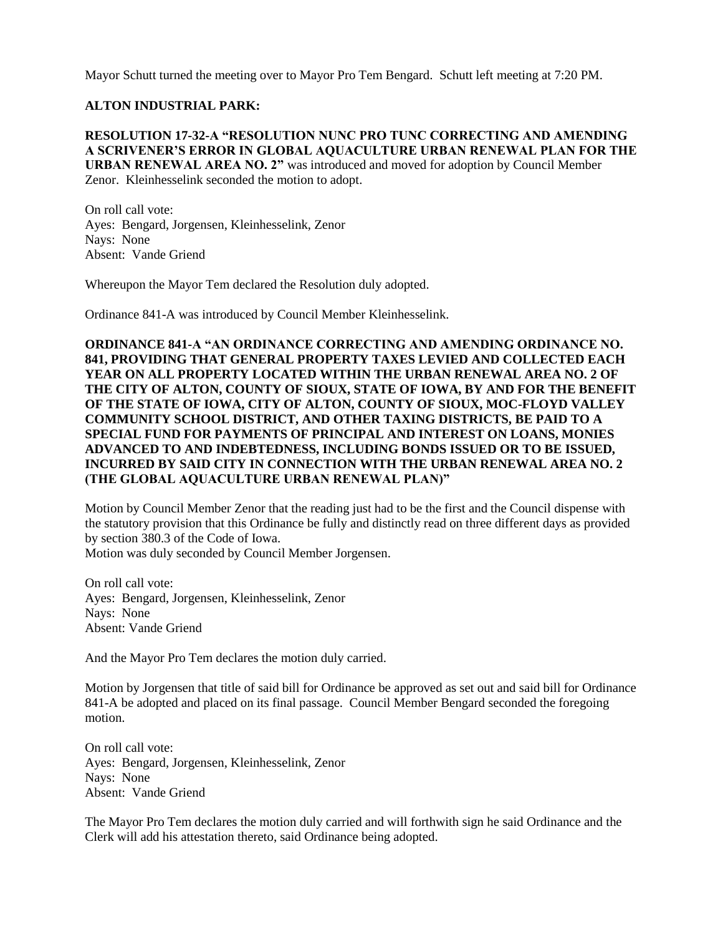Mayor Schutt turned the meeting over to Mayor Pro Tem Bengard. Schutt left meeting at 7:20 PM.

## **ALTON INDUSTRIAL PARK:**

**RESOLUTION 17-32-A "RESOLUTION NUNC PRO TUNC CORRECTING AND AMENDING A SCRIVENER'S ERROR IN GLOBAL AQUACULTURE URBAN RENEWAL PLAN FOR THE URBAN RENEWAL AREA NO. 2"** was introduced and moved for adoption by Council Member Zenor. Kleinhesselink seconded the motion to adopt.

On roll call vote: Ayes: Bengard, Jorgensen, Kleinhesselink, Zenor Nays: None Absent: Vande Griend

Whereupon the Mayor Tem declared the Resolution duly adopted.

Ordinance 841-A was introduced by Council Member Kleinhesselink.

**ORDINANCE 841-A "AN ORDINANCE CORRECTING AND AMENDING ORDINANCE NO. 841, PROVIDING THAT GENERAL PROPERTY TAXES LEVIED AND COLLECTED EACH YEAR ON ALL PROPERTY LOCATED WITHIN THE URBAN RENEWAL AREA NO. 2 OF THE CITY OF ALTON, COUNTY OF SIOUX, STATE OF IOWA, BY AND FOR THE BENEFIT OF THE STATE OF IOWA, CITY OF ALTON, COUNTY OF SIOUX, MOC-FLOYD VALLEY COMMUNITY SCHOOL DISTRICT, AND OTHER TAXING DISTRICTS, BE PAID TO A SPECIAL FUND FOR PAYMENTS OF PRINCIPAL AND INTEREST ON LOANS, MONIES ADVANCED TO AND INDEBTEDNESS, INCLUDING BONDS ISSUED OR TO BE ISSUED, INCURRED BY SAID CITY IN CONNECTION WITH THE URBAN RENEWAL AREA NO. 2 (THE GLOBAL AQUACULTURE URBAN RENEWAL PLAN)"** 

Motion by Council Member Zenor that the reading just had to be the first and the Council dispense with the statutory provision that this Ordinance be fully and distinctly read on three different days as provided by section 380.3 of the Code of Iowa.

Motion was duly seconded by Council Member Jorgensen.

On roll call vote: Ayes: Bengard, Jorgensen, Kleinhesselink, Zenor Nays: None Absent: Vande Griend

And the Mayor Pro Tem declares the motion duly carried.

Motion by Jorgensen that title of said bill for Ordinance be approved as set out and said bill for Ordinance 841-A be adopted and placed on its final passage. Council Member Bengard seconded the foregoing motion.

On roll call vote: Ayes: Bengard, Jorgensen, Kleinhesselink, Zenor Nays: None Absent: Vande Griend

The Mayor Pro Tem declares the motion duly carried and will forthwith sign he said Ordinance and the Clerk will add his attestation thereto, said Ordinance being adopted.